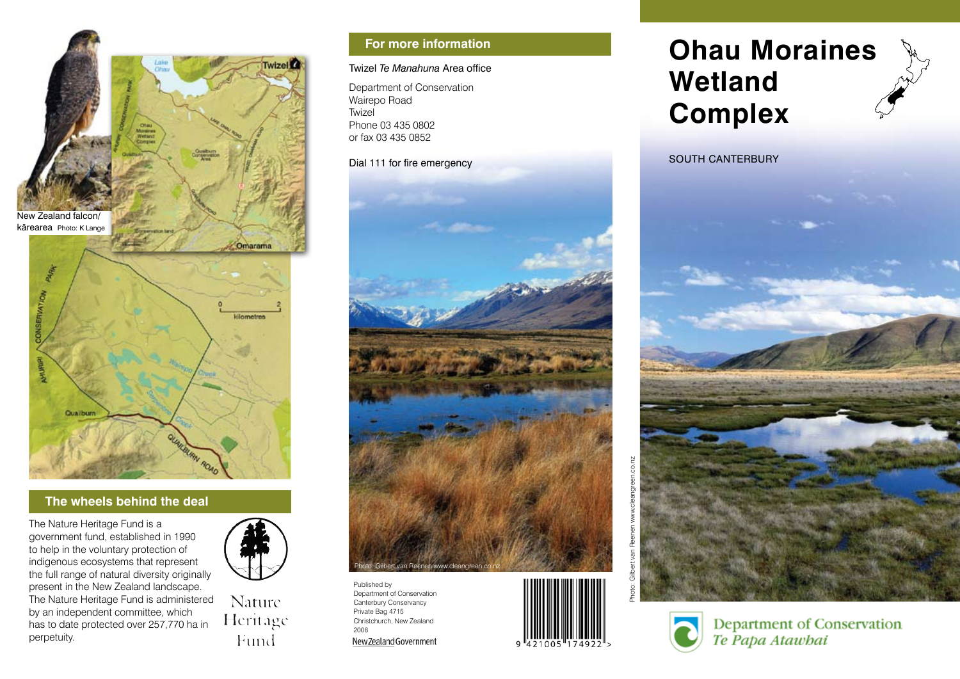

## **The wheels behind the deal**

The Nature Heritage Fund is a government fund, established in 1990 to help in the voluntary protection of indigenous ecosystems that represent the full range of natural diversity originally present in the New Zealand landscape. The Nature Heritage Fund is administered by an independent committee, which has to date protected over 257,770 ha in perpetuity.



Nature Heritage Fund

# **For more information**

#### Twizel *Te Manahuna* Area office

Department of Conservation Wairepo Road Twizel Phone 03 435 0802 or fax 03 435 0852

### Dial 111 for fire emergency



Published by Department of Conservation Canterbury Conservancy Private Bag 4715 Christchurch, New Zealand 2008 New Zealand Government





**Ohau Moraines Wetland Complex**

SOUTH CANTERBURY





**Department of Conservation** Te Papa Atawbai